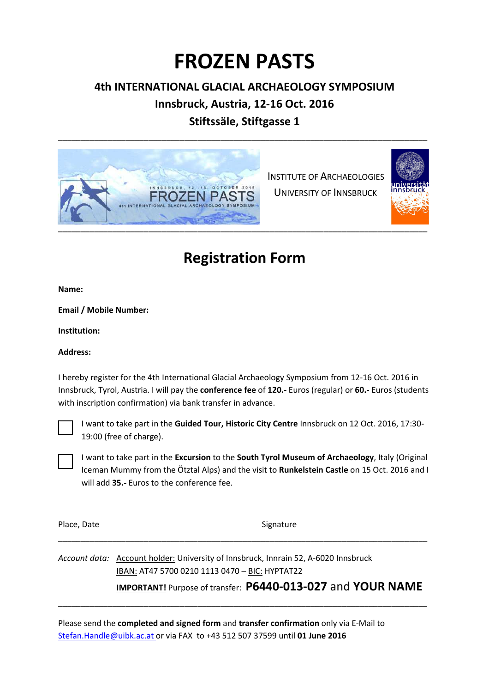# **FROZEN PASTS**

### **4th INTERNATIONAL GLACIAL ARCHAEOLOGY SYMPOSIUM**

## **Innsbruck, Austria, 12-16 Oct. 2016**

**Stiftssäle, Stiftgasse 1**  \_\_\_\_\_\_\_\_\_\_\_\_\_\_\_\_\_\_\_\_\_\_\_\_\_\_\_\_\_\_\_\_\_\_\_\_\_\_\_\_\_\_\_\_\_\_\_\_\_\_\_\_\_\_\_\_\_\_\_\_\_\_\_\_\_\_\_\_\_\_\_\_\_\_\_\_\_\_\_\_\_\_



 INSTITUTE OF ARCHAEOLOGIES UNIVERSITY OF INNSBRUCK



# **Registration Form**

**Name:** 

**Email / Mobile Number:** 

**Institution:** 

#### **Address:**

I hereby register for the 4th International Glacial Archaeology Symposium from 12-16 Oct. 2016 in Innsbruck, Tyrol, Austria. I will pay the **conference fee** of **120.-** Euros (regular) or **60.-** Euros (students with inscription confirmation) via bank transfer in advance.



I want to take part in the **Guided Tour, Historic City Centre** Innsbruck on 12 Oct. 2016, 17:30- 19:00 (free of charge).

I want to take part in the **Excursion** to the **South Tyrol Museum of Archaeology**, Italy (Original Iceman Mummy from the Ötztal Alps) and the visit to **Runkelstein Castle** on 15 Oct. 2016 and I will add **35.-** Euros to the conference fee.

Place, Date Signature Signature

*Account data:* Account holder: University of Innsbruck, Innrain 52, A-6020 Innsbruck IBAN: AT47 5700 0210 1113 0470 – BIC: HYPTAT22 **IMPORTANT!** Purpose of transfer: **P6440-013-027** and **YOUR NAME** 

Please send the **completed and signed form** and **transfer confirmation** only via E-Mail to Stefan.Handle@uibk.ac.at or via FAX to +43 512 507 37599 until **01 June 2016**